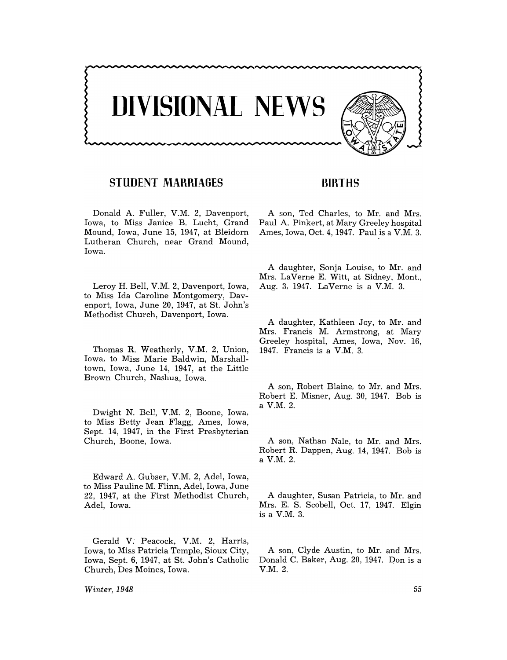

## **STUDENT MAHRIAGES**

Donald A. Fuller, V.M. 2, Davenport, Iowa, to Miss Janice B. Lucht, Grand Mound, Iowa, June 15, 1947, at Bleidorn Lutheran Church, near Grand Mound, Iowa.

Leroy H. Bell, V.M. 2, Davenport, Iowa, to Miss Ida Caroline Montgomery, Davenport, Iowa, June 20, 1947, at St. John's Methodist Church, Davenport, Iowa.

Thomas R. Weatherly, V.M. 2, Union, Iowa, to Miss Marie Baldwin, Marshalltown, Iowa, June 14, 1947, at the Little Brown Church, Nashua, Iowa.

Dwight N. Bell, V.M. 2, Boone, Iowa, to Miss Betty Jean Flagg, Ames, Iowa, Sept. 14, 1947, in the First Presbyterian Church, Boone, Iowa.

Edward A. Gubser, V.M. 2, Adel, Iowa, to Miss Pauline M. Flinn, Adel, Iowa, June 22, 1947, at the First Methodist Church, Adel, Iowa.

Gerald V: Peacock, V.M. 2, Harris, Iowa, to Miss Patricia Temple, Sioux City, Iowa, Sept. 6, 1947, at St. John's Catholic Church, Des Moines, Iowa.

*Winter,* 1948

### **BIRTHS**

A son, Ted Charles, to Mr. and Mrs. Paul A. Pinkert, at Mary Greeley hospital Ames, Iowa, Oct. 4, 1947. Paul is a V.M. 3.

A daughter, Sonja Louise, to Mr. and Mrs. LaVerne E. Witt, at Sidney, Mont., Aug. 3, 1947. LaVerne is a V.M. 3.

A daughter, Kathleen Joy, to Mr. and Mrs. Francis M. Armstrong, at Mary Greeley hospital, Ames, Iowa, Nov. 16, 1947. Francis is a V.M. 3.

A son, Robert Blaine, to Mr. and Mrs. Robert E. Misner, Aug. 30, 1947. Bob is a V.M. 2.

A son, Nathan Nale, to Mr. and Mrs. Robert R. Dappen, Aug. 14, 1947. Bob is a V.M. 2.

A daughter, Susan Patricia, to Mr. and Mrs. E. S. Scobell, Oct. 17, 1947. Elgin is a V.M. 3.

A son, Clyde Austin, to Mr. and Mrs. Donald C. Baker, Aug. 20, 1947. Don is a V.M.2.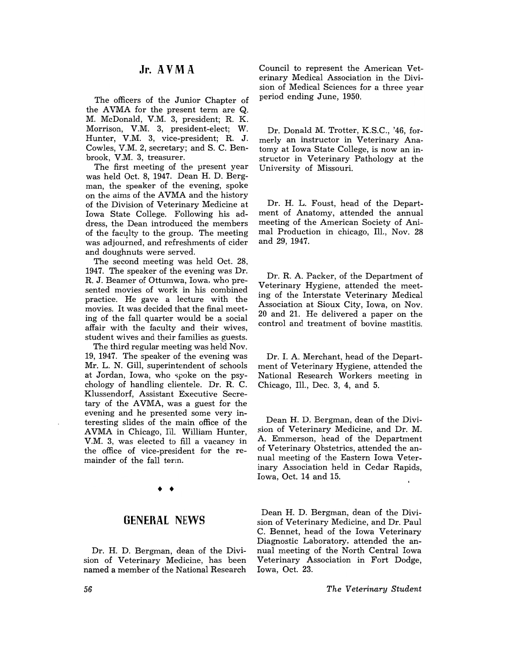### **Jr. AVM A**

The officers of the Junior Chapter of the AVMA for the present term are Q. M. McDonald, V.M. 3, president; R. K. Morrison, V.M. 3, president-elect; W. Hunter, V.M. 3, vice-president; R. J. Cowles, V.M. 2, secretary; and S. C. Benbrook, V.M. 3, treasurer.

The first meeting of the present year was held Oct. 8, 1947. Dean H. D. Bergman, the speaker of the evening, spoke on the aims of the AVMA and the history of the Division of Veterinary Medicine at Iowa State College. Following his address, the Dean introduced the members of the faculty to the group. The meeting was adjourned, and refreshments of cider and doughnuts were served.

The second meeting was held Oct. 28, 1947. The speaker of the evening was Dr. R. J. Beamer of Ottumwa, Iowa, who presented movies of work in his combined practice. He gave a lecture with the movies. It was decided that the final meeting of the fall quarter would be a social affair with the faculty and their wives, student wives and their families as guests.

The third regular meeting was held Nov. 19, 1947. The speaker of the evening was Mr. L. N. Gill, superintendent of schools at Jordan, Iowa, who spoke on the psychology of handling clientele. Dr. R. C. Klussendorf, Assistant Executive Secretary of the AVMA, was a guest for the evening and he presented some very interesting slides of the main office of the A VMA in Chicago, Ill. William Hunter, V.M. 3, was elected to fill a vacancy in the office of vice-president for the remainder of the fall term.

# • •

#### **GENERAL NEWS**

Dr. H. D. Bergman, dean of the Division of Veterinary Medicine, has been named a member of the National Research

Council to represent the American Veterinary Medical Association in the Division of Medical Sciences for a three year period ending June, 1950.

Dr. Donald M. Trotter, K.S.C., '46, formerly an instructor in Veterinary Anatomy at Iowa State College, is now an instructor in Veterinary Pathology at the University of Missouri.

Dr. H. L. Foust, head of the Department of Anatomy, attended the annual meeting of the American Society of Animal Production in chicago, Ill., Nov. 28 and 29, 1947.

Dr. R. A. Packer, of the Department of Veterinary Hygiene, attended the meeting of the Interstate Veterinary Medical Association at Sioux City, Iowa, on Nov. 20 and 21. He delivered a paper on the control and treatment of bovine mastitis.

Dr. 1. A. Merchant, head of the Department of Veterinary Hygiene, attended the National Research Workers meeting in Chicago, Ill., Dec. 3, 4, and 5.

Dean H. D. Bergman, dean of the Division of Veterinary Medicine, and Dr. M. A. Emmerson, head of the Department of Veterinary Obstetrics, attended the annual meeting of the Eastern Iowa Veterinary Association held in Cedar Rapids, Iowa, Oct. 14 and 15.

Dean H. D. Bergman, dean of the Division of Veterinary Medicine, and Dr. Paul C. Bennet, head of the Iowa Veterinary Diagnostic Laboratory, attended the annual meeting of the North Central Iowa Veterinary Association in Fort Dodge, Iowa, Oct. 23.

*The Veterinary Student*